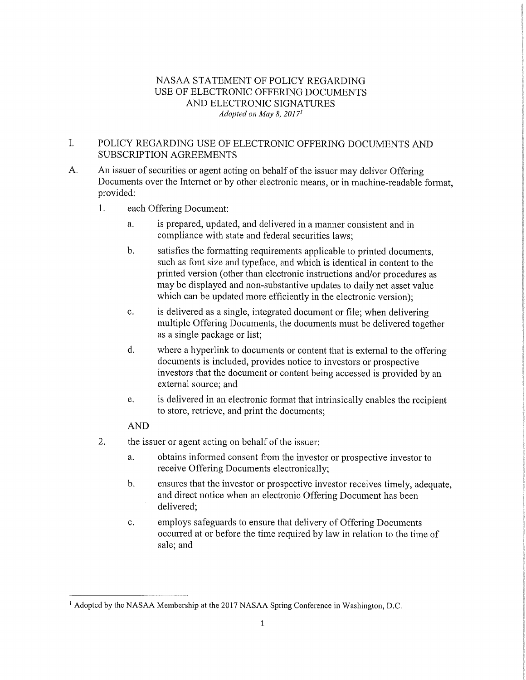# NASAA STATEMENT OF POLICY REGARDING USE OF ELECTRONIC OFFERING DOCUMENTS AND ELECTRONIC SIGNATURES *Adopted on May 8, 20171*

### I. POLICY REGARDING USE OF ELECTRONIC OFFERING DOCUMENTS AND SUBSCRIPTION AGREEMENTS

- A. An issuer of securities or agent acting on behalf of the issuer may deliver Offering Documents over the Internet or by other electronic means, or in machine-readable format, provided:
	- 1. each Offering Document:
		- a. is prepared, updated, and delivered in a manner consistent and in compliance with state and federal securities laws;
		- b. satisfies the formatting requirements applicable to printed documents, such as font size and typeface, and which is identical in content to the printed version (other than electronic instructions and/or procedures as may be displayed and non-substantive updates to daily net asset value which can be updated more efficiently in the electronic version);
		- c. is delivered as a single, integrated document or file; when delivering multiple Offering Documents, the documents must be delivered together as a single package or list;
		- d. where a hyperlink to documents or content that is external to the offering documents is included, provides notice to investors or prospective investors that the document or content being accessed is provided by an external source; and
		- e. is delivered in an electronic format that intrinsically enables the recipient to store, retrieve, and print the documents;

# AND

- 2. the issuer or agent acting on behalf of the issuer:
	- a. obtains informed consent from the investor or prospective investor to receive Offering Documents electronically;
	- b. ensures that the investor or prospective investor receives timely, adequate, and direct notice when an electronic Offering Document has been delivered;
	- c. employs safeguards to ensure that delivery of Offering Documents occurred at or before the time required by law in relation to the time of sale; and

<sup>&</sup>lt;sup>1</sup> Adopted by the NASAA Membership at the 2017 NASAA Spring Conference in Washington, D.C.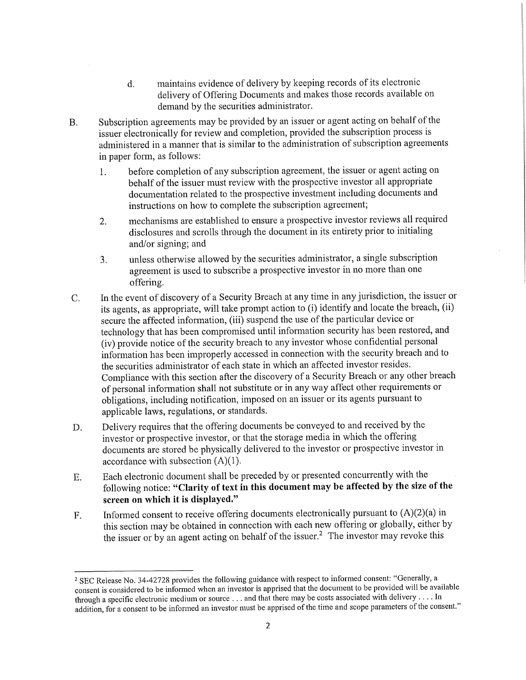- d. maintains evidence of delivery by keeping records of its electronic delivery of Offering Documents and makes those records available on demand by the securities administrator.
- B. Subscription agreements may be provided by an issuer or agent acting on behalf of the issuer electronically for review and completion, provided the subscription process is administered in a manner that is similar to the administration of subscription agreements in paper form, as follows:
	- 1. before completion of any subscription agreement, the issuer or agent acting on behalf of the issuer must review with the prospective investor all appropriate documentation related to the prospective investment including documents and instructions on how to complete the subscription agreement;
	- 2. mechanisms are established to ensure a prospective investor reviews all required disclosures and scrolls through the document in its entirety prior to initialing and/or signing; and
	- 3. unless otherwise allowed by the securities administrator, a single subscription agreement is used to subscribe a prospective investor in no more than one offering.
- C. In the event of discovery of a Security Breach at any time in any jurisdiction, the issuer or its agents, as appropriate, will take prompt action to (i) identify and locate the breach, (ii) secure the affected information, (iii) suspend the use of the particular device or technology that has been compromised until information security has been restored, and (iv) provide notice of the security breach to any investor whose confidential personal information has been improperly accessed in connection with the security breach and to the securities administrator of each state in which an affected investor resides. Compliance with this section after the discovery of a Security Breach or any other breach of personal information shall not substitute or in any way affect other requirements or obligations, including notification, imposed on an issuer or its agents pursuant to applicable laws, regulations, or standards.
- D. Delivery requires that the offering documents be conveyed to and received by the investor or prospective investor, or that the storage media in which the offering documents are stored be physically delivered to the investor or prospective investor in accordance with subsection (A)(1).
- E. Each electronic document shall be preceded by or presented concurrently with the following notice: **"Clarity of text in this document may be affected by the size of the screen on which it is displayed."**
- F. Informed consent to receive offering documents electronically pursuant to (A)(2)(a) in this section may be obtained in connection with each new offering or globally, either by the issuer or by an agent acting on behalf of the issuer.<sup>2</sup> The investor may revoke this

<sup>&</sup>lt;sup>2</sup> SEC Release No. 34-42728 provides the following guidance with respect to informed consent: "Generally, a consent is considered to be informed when an investor is apprised that the document to be provided will be available through a specific electronic medium or source . . . and that there may be costs associated with delivery . . . In addition, for a consent to be informed an investor must be apprised of the time and scope parameters of the consent."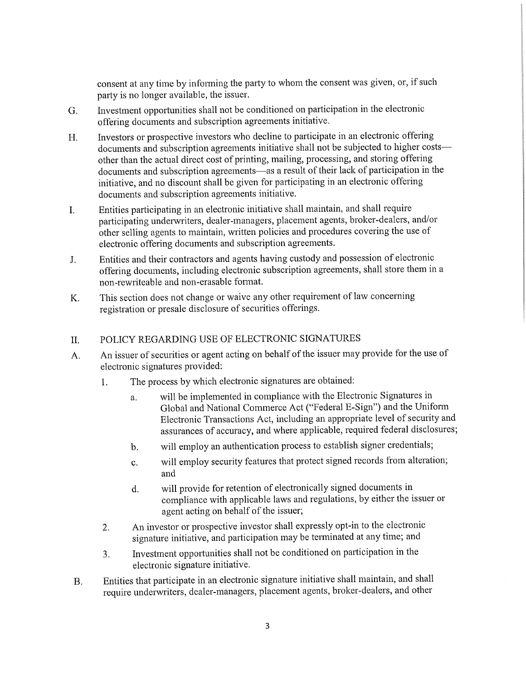consent at any time by informing the party to whom the consent was given, or, if such party is no longer available, the issuer.

- G. Investment opportunities shall not be conditioned on participation in the electronic offering documents and subscription agreements initiative.
- H. Investors or prospective investors who decline to participate in an electronic offering documents and subscription agreements initiative shall not be subjected to higher costs other than the actual direct cost of printing, mailing, processing, and storing offering documents and subscription agreements—as a result of their lack of participation in the initiative, and no discount shall be given for participating in an electronic offering documents and subscription agreements initiative.
- I. Entities participating in an electronic initiative shall maintain, and shall require participating underwriters, dealer-managers, placement agents, broker-dealers, and/or other selling agents to maintain, written policies and procedures covering the use of electronic offering documents and subscription agreements.
- J. Entities and their contractors and agents having custody and possession of electronic offering documents, including electronic subscription agreements, shall store them in a non-rewriteable and non-erasable format.
- K. This section does not change or waive any other requirement of law concerning registration or presale disclosure of securities offerings.

#### POLICY REGARDING USE OF ELECTRONIC SIGNATURES  $\Pi$ .

- A. An issuer of securities or agent acting on behalf of the issuer may provide for the use of electronic signatures provided:
	- 1. The process by which electronic signatures are obtained:
		- a. will be implemented in compliance with the Electronic Signatures in Global and National Commerce Act ("Federal E-Sign") and the Uniform Electronic Transactions Act, including an appropriate level of security and assurances of accuracy, and where applicable, required federal disclosures;
		- b. will employ an authentication process to establish signer credentials;
		- c. will employ security features that protect signed records from alteration; and
		- d. will provide for retention of electronically signed documents in compliance with applicable laws and regulations, by either the issuer or agent acting on behalf of the issuer;
	- 2. An investor or prospective investor shall expressly opt-in to the electronic signature initiative, and participation may be terminated at any time; and
	- 3. Investment opportunities shall not be conditioned on participation in the electronic signature initiative.
- B. Entities that participate in an electronic signature initiative shall maintain, and shall require underwriters, dealer-managers, placement agents, broker-dealers, and other